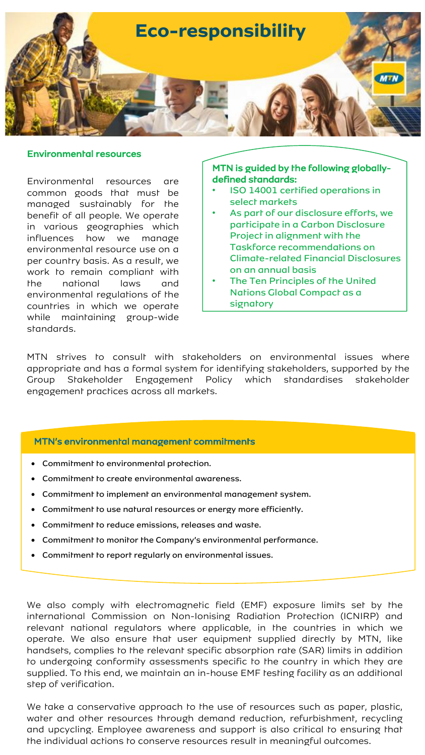

#### Environmental resources

Environmental resources are common goods that must be managed sustainably for the benefit of all people. We operate in various geographies which influences how we manage environmental resource use on a per country basis. As a result, we work to remain compliant with the national laws and environmental regulations of the countries in which we operate while maintaining group-wide standards.

# MTN is guided by the following globallydefined standards:

- ISO 14001 certified operations in select markets
- As part of our disclosure efforts, we participate in a Carbon Disclosure Project in alignment with the Taskforce recommendations on Climate-related Financial Disclosures on an annual basis
- The Ten Principles of the United Nations Global Compact as a signatory

MTN strives to consult with stakeholders on environmental issues where appropriate and has a formal system for identifying stakeholders, supported by the Group Stakeholder Engagement Policy which standardises stakeholder engagement practices across all markets.

#### MTN's environmental management commitments

- Commitment to environmental protection.
- Commitment to create environmental awareness.
- Commitment to implement an environmental management system.
- Commitment to use natural resources or energy more efficiently.
- Commitment to reduce emissions, releases and waste.
- Commitment to monitor the Company's environmental performance.
- Commitment to report regularly on environmental issues.

We also comply with electromagnetic field (EMF) exposure limits set by the international Commission on Non-Ionising Radiation Protection (ICNIRP) and relevant national regulators where applicable, in the countries in which we operate. We also ensure that user equipment supplied directly by MTN, like handsets, complies to the relevant specific absorption rate (SAR) limits in addition to undergoing conformity assessments specific to the country in which they are supplied. To this end, we maintain an in-house EMF testing facility as an additional step of verification.

We take a conservative approach to the use of resources such as paper, plastic, water and other resources through demand reduction, refurbishment, recycling and upcycling. Employee awareness and support is also critical to ensuring that the individual actions to conserve resources result in meaningful outcomes.